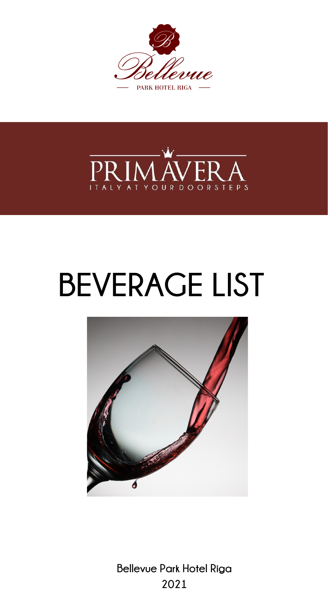



# **BEVERAGE LIST**



**Bellevue Park Hotel Riga 2021**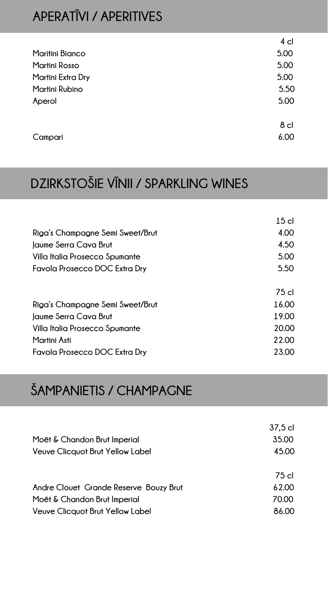#### **APERATĪVI / APERITIVES**

|                        | 4 cl            |
|------------------------|-----------------|
| <b>Maritini Bianco</b> | 5.00            |
| Martini Rosso          | 5.00            |
| Martini Extra Dry      | 5.00            |
| Martini Rubino         | 5.50            |
| Aperol                 | 5.00            |
|                        |                 |
|                        | 8 <sub>cl</sub> |
| Campari                | 6.00            |
|                        |                 |

# **DZIRKSTOŠIE VĪNII / SPARKLING WINES**

| 15 <sub>cl</sub> |
|------------------|
| 4.00             |
| 4.50             |
| 5.00             |
| 5.50             |
|                  |
| 75 cl            |
| 16.00            |
| 19.00            |
| 20.00            |
| 22.00            |
| 23.00            |
|                  |

#### **ŠAMPANIETIS / CHAMPAGNE**

|                                         | 37,5 cl |
|-----------------------------------------|---------|
| Moët & Chandon Brut Imperial            | 35.00   |
| <b>Veuve Clicquot Brut Yellow Label</b> | 45.00   |
|                                         | 75 cl   |
| Andre Clouet Grande Reserve Bouzy Brut  | 62.00   |
| Moët & Chandon Brut Imperial            | 70.00   |
| <b>Veuve Clicquot Brut Yellow Label</b> | 86.00   |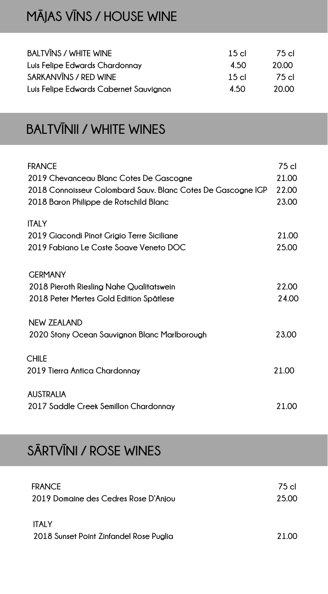#### **MĀJAS VĪNS / HOUSE WINE**

| <b>BALTVINS / WHITE WINE</b>           | $15$ cl | 75 cl |
|----------------------------------------|---------|-------|
| Luis Felipe Edwards Chardonnay         | 4.50    | 20.00 |
| SARKANVINS / RED WINE                  | 15c     | 75 cl |
| Luis Felipe Edwards Cabernet Sauvignon | 4.50    | 20.00 |

#### **BALTVĪNII / WHITE WINES**

| <b>ITALY</b><br>2019 Giacondi Pinot Grigio Terre Siciliane<br>21.00<br>2019 Fabiano Le Coste Soave Veneto DOC<br>25.00<br><b>GERMANY</b><br>22.00<br>2018 Pieroth Riesling Nahe Qualitatswein<br>24.00<br>2018 Peter Mertes Gold Edition Spätlese<br>NEW ZEALAND<br>23.00<br>2020 Stony Ocean Sauvignon Blanc Marlborough<br><b>CHILE</b><br>21.00 | 75 cl<br>21.00<br>22.00<br>23.00 |
|----------------------------------------------------------------------------------------------------------------------------------------------------------------------------------------------------------------------------------------------------------------------------------------------------------------------------------------------------|----------------------------------|
|                                                                                                                                                                                                                                                                                                                                                    |                                  |
|                                                                                                                                                                                                                                                                                                                                                    |                                  |
|                                                                                                                                                                                                                                                                                                                                                    |                                  |
|                                                                                                                                                                                                                                                                                                                                                    |                                  |
|                                                                                                                                                                                                                                                                                                                                                    |                                  |
|                                                                                                                                                                                                                                                                                                                                                    |                                  |
|                                                                                                                                                                                                                                                                                                                                                    |                                  |
|                                                                                                                                                                                                                                                                                                                                                    |                                  |
|                                                                                                                                                                                                                                                                                                                                                    |                                  |
| 2019 Tierra Antica Chardonnay                                                                                                                                                                                                                                                                                                                      |                                  |
| <b>AUSTRALIA</b>                                                                                                                                                                                                                                                                                                                                   |                                  |
| 2017 Saddle Creek Semillon Chardonnay<br>21.00                                                                                                                                                                                                                                                                                                     |                                  |

### **SĀRTVĪNI / ROSE WINES**

| <b>FRANCE</b><br>2019 Domaine des Cedres Rose D'Anjou | 75 cl<br>25.00 |
|-------------------------------------------------------|----------------|
| <b>ITALY</b>                                          |                |
| 2018 Sunset Point Zinfandel Rose Puglia               | 21.OO          |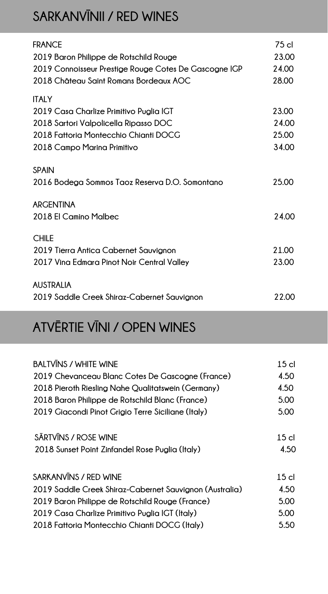#### **SARKANVĪNII / RED WINES**

| <b>FRANCE</b>                                         | 75 cl |
|-------------------------------------------------------|-------|
| 2019 Baron Philippe de Rotschild Rouge                | 23.00 |
| 2019 Connoisseur Prestige Rouge Cotes De Gascogne IGP | 24.00 |
| 2018 Château Saint Romans Bordeaux AOC                | 28.00 |
| <b>ITALY</b>                                          |       |
| 2019 Casa Charlize Primitivo Puglia IGT               | 23.00 |
| 2018 Sartori Valpolicella Ripasso DOC                 | 24.00 |
| 2018 Fattoria Montecchio Chianti DOCG                 | 25.00 |
| 2018 Campo Marina Primitivo                           | 34.00 |
| <b>SPAIN</b>                                          |       |
| 2016 Bodega Sommos Taoz Reserva D.O. Somontano        | 25.00 |
| <b>ARGENTINA</b>                                      |       |
| 2018 El Camino Malbec                                 | 24.00 |
|                                                       |       |
| <b>CHILE</b>                                          |       |
| 2019 Tierra Antica Cabernet Sauvignon                 | 21.00 |
| 2017 Vina Edmara Pinot Noir Central Valley            | 23.00 |
| <b>AUSTRALIA</b>                                      |       |
| 2019 Saddle Creek Shiraz-Cabernet Sauvianon           | 22.00 |
|                                                       |       |

# **ATVĒRTIE VĪNI / OPEN WINES**

| <b>BALTVINS / WHITE WINE</b>                            | 15 <sub>cl</sub> |
|---------------------------------------------------------|------------------|
| 2019 Chevanceau Blanc Cotes De Gascogne (France)        | 4.50             |
| 2018 Pieroth Riesling Nahe Qualitatswein (Germany)      | 4.50             |
| 2018 Baron Philippe de Rotschild Blanc (France)         | 5.00             |
| 2019 Giacondi Pinot Grigio Terre Siciliane (Italy)      | 5.00             |
| SĀRTVĪNS / ROSE WINE                                    | 15 <sub>cl</sub> |
| 2018 Sunset Point Zinfandel Rose Puglia (Italy)         | 4.50             |
| SARKANVINS / RED WINE                                   | 15 <sub>cl</sub> |
| 2019 Saddle Creek Shiraz-Cabernet Sauvignon (Australia) | 4.50             |
| 2019 Baron Philippe de Rotschild Rouge (France)         | 5.00             |
| 2019 Casa Charlize Primitivo Puglia IGT (Italy)         | 5.00             |
| 2018 Fattoria Montecchio Chianti DOCG (Italy)           | 5.50             |
|                                                         |                  |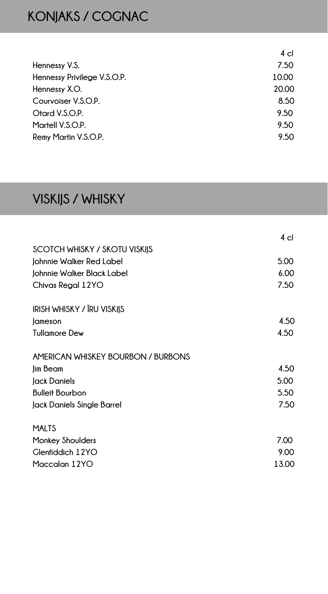# **KONJAKS / COGNAC**

|                             | 4 cl  |
|-----------------------------|-------|
| Hennessy V.S.               | 7.50  |
| Hennessy Privilege V.S.O.P. | 10.00 |
| Hennessy X.O.               | 20.00 |
| Courvoiser V.S.O.P.         | 8.50  |
| Otard V.S.O.P.              | 9.50  |
| Martell V.S.O.P.            | 9.50  |
| Remy Martin V.S.O.P.        | 9.50  |

# **VISKIJS / WHISKY**

|                                    | 4 cl  |
|------------------------------------|-------|
| SCOTCH WHISKY / SKOTU VISKIJS      |       |
| Johnnie Walker Red Label           | 5.00  |
| Johnnie Walker Black Label         | 6.00  |
| Chivas Regal 12YO                  | 7.50  |
| IRISH WHISKY / IRU VISKIJS         |       |
| Jameson                            | 4.50  |
| <b>Tullamore Dew</b>               | 4.50  |
| AMERICAN WHISKEY BOURBON / BURBONS |       |
| Jim Beam                           | 4.50  |
| Jack Daniels                       | 5.00  |
| <b>Bulleit Bourbon</b>             | 5.50  |
| Jack Daniels Single Barrel         | 7.50  |
| <b>MALTS</b>                       |       |
| <b>Monkey Shoulders</b>            | 7.00  |
| <b>Glenfiddich 12YO</b>            | 9.00  |
| Maccalan 12YO                      | 13.00 |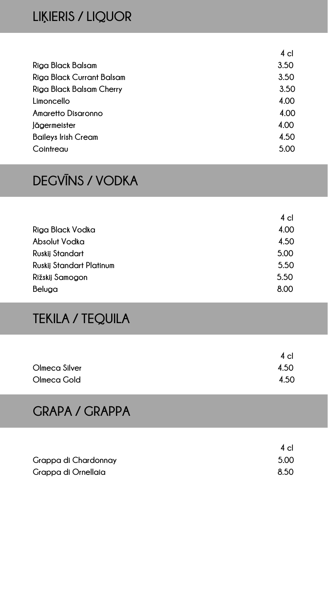#### **LIĶIERIS / LIQUOR**

|                                  | 4 <sub>cl</sub> |
|----------------------------------|-----------------|
| Riga Black Balsam                | 3.50            |
| <b>Riga Black Currant Balsam</b> | 3.50            |
| Riga Black Balsam Cherry         | 3.50            |
| Limoncello                       | 4.00            |
| <b>Amaretto Disaronno</b>        | 4.00            |
| <b>Jägermeister</b>              | 4.00            |
| <b>Baileys Irish Cream</b>       | 4.50            |
| Cointreau                        | 5.00            |
|                                  |                 |

#### **DEGVĪNS / VODKA**

|                                 | 4 cl |
|---------------------------------|------|
| Riga Black Vodka                | 4.00 |
| Absolut Vodka                   | 4.50 |
| <b>Ruskij Standart</b>          | 5.00 |
| <b>Ruskij Standart Platinum</b> | 5.50 |
| Rižskij Samogon                 | 5.50 |
| Beluga                          | 8.00 |

#### **TEKILA / TEQUILA**

|               | $4$ cl |
|---------------|--------|
| Olmeca Silver | 4.50   |
| Olmeca Gold   | 4.50   |

#### **GRAPA / GRAPPA**

|                      | 4 cl |
|----------------------|------|
| Grappa di Chardonnay | 5.00 |
| Grappa di Ornellaia  | 8.50 |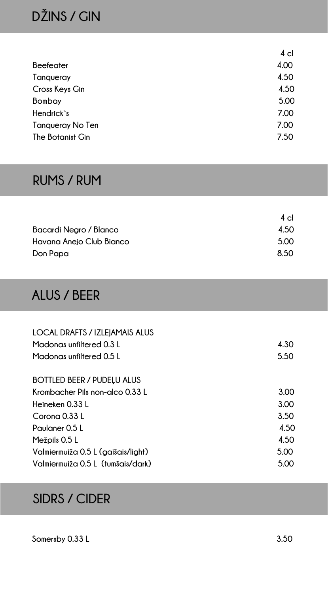# **DŽINS / GIN**

|                         | 4 cl |
|-------------------------|------|
| <b>Beefeater</b>        | 4.00 |
| Tanqueray               | 4.50 |
| Cross Keys Gin          | 4.50 |
| Bombay                  | 5.00 |
| Hendrick's              | 7.00 |
| <b>Tanqueray No Ten</b> | 7.00 |
| The Botanist Gin        | 7.50 |
|                         |      |

#### **RUMS / RUM**

|                          | $4$ cl |
|--------------------------|--------|
| Bacardi Negro / Blanco   | 4.50   |
| Havana Anejo Club Bianco | 5.00   |
| Don Papa                 | 8.50   |

#### **ALUS / BEER**

| <b>LOCAL DRAFTS / IZLEIAMAIS ALUS</b> |      |
|---------------------------------------|------|
| Madonas unfiltered 0.3 L              | 4.30 |
| Madonas unfiltered 0.5 L              | 5.50 |
|                                       |      |
| <b>BOTTLED BEER / PUDELU ALUS</b>     |      |
| Krombacher Pils non-alco 0.33 L       | 3.00 |
| Heineken 0.33 L                       | 3.00 |
| Corona 0.33 L                         | 3.50 |
| Paulaner 0.5 L                        | 4.50 |
| Mežpils 0.5 L                         | 4.50 |
| Valmiermuiža 0.5 L (gaišais/light)    | 5.00 |
| Valmiermuiža 0.5 L (tumšais/dark)     | 5.00 |

#### **SIDRS / CIDER**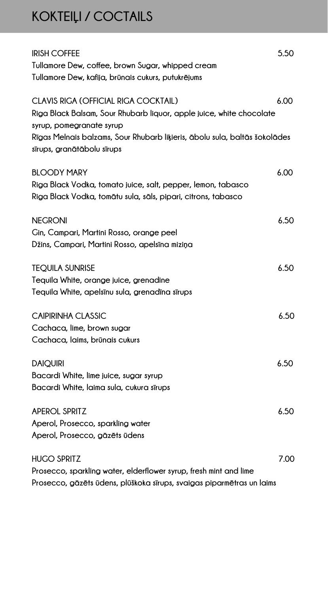# **KOKTEIĻI / COCTAILS**

| <b>IRISH COFFEE</b><br>Tullamore Dew, coffee, brown Sugar, whipped cream<br>Tullamore Dew, kafija, brūnais cukurs, putukrējums                                   | 5.50 |
|------------------------------------------------------------------------------------------------------------------------------------------------------------------|------|
| CLAVIS RIGA (OFFICIAL RIGA COCKTAIL)<br>Riga Black Balsam, Sour Rhubarb liquor, apple juice, white chocolate<br>syrup, pomegranate syrup                         | 6.00 |
| Rīgas Melnais balzams, Sour Rhubarb liķieris, ābolu sula, baltās šokolādes<br>sīrups, granātābolu sīrups                                                         |      |
| <b>BLOODY MARY</b><br>Riga Black Vodka, tomato juice, salt, pepper, lemon, tabasco<br>Riga Black Vodka, tomātu sula, sāls, pipari, citrons, tabasco              | 6.00 |
| <b>NEGRONI</b><br>Gin, Campari, Martini Rosso, orange peel<br>Džins, Campari, Martini Rosso, apelsīna miziņa                                                     | 6.50 |
| <b>TEQUILA SUNRISE</b><br>Tequila White, orange juice, grenadine<br>Tequila White, apelsinu sula, grenadina sirups                                               | 6.50 |
| <b>CAIPIRINHA CLASSIC</b><br>Cachaca, lime, brown sugar<br>Cachaca, laims, brūnais cukurs                                                                        | 6.50 |
| <b>DAIQUIRI</b><br>Bacardi White, lime juice, sugar syrup<br>Bacardi White, laima sula, cukura sīrups                                                            | 6.50 |
| <b>APEROL SPRITZ</b><br>Aperol, Prosecco, sparkling water<br>Aperol, Prosecco, gāzēts ūdens                                                                      | 6.50 |
| <b>HUGO SPRITZ</b><br>Prosecco, sparkling water, elderflower syrup, fresh mint and lime<br>Prosecco, gāzēts ūdens, plūškoka sīrups, svaigas piparmētras un laims | 7.00 |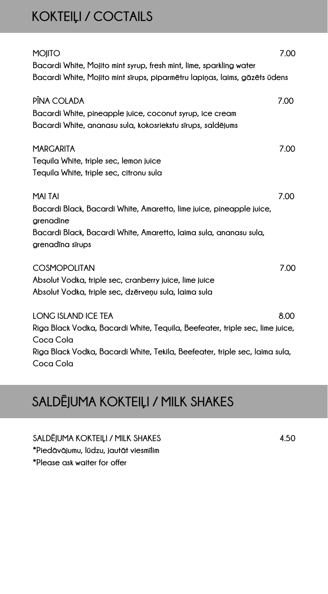#### **KOKTEIĻI / COCTAILS**

| <b>MOJITO</b>                                                                            | 7.00 |
|------------------------------------------------------------------------------------------|------|
| Bacardi White, Mojito mint syrup, fresh mint, lime, sparkling water                      |      |
| Bacardi White, Mojito mint sīrups, piparmētru lapiņas, laims, gāzēts ūdens               |      |
| PÎNA COLADA                                                                              | 7.00 |
| Bacardi White, pineapple juice, coconut syrup, ice cream                                 |      |
| Bacardi White, ananasu sula, kokosriekstu sīrups, saldējums                              |      |
|                                                                                          |      |
| <b>MARGARITA</b>                                                                         | 7.00 |
| Tequila White, triple sec, lemon juice                                                   |      |
| Tequila White, triple sec, citronu sula                                                  |      |
|                                                                                          |      |
| <b>MAI TAI</b>                                                                           | 7.00 |
| Bacardi Black, Bacardi White, Amaretto, lime juice, pineapple juice,                     |      |
| grenadine<br>Bacardi Black, Bacardi White, Amaretto, laima sula, ananasu sula,           |      |
| grenadīna sīrups                                                                         |      |
|                                                                                          |      |
| <b>COSMOPOLITAN</b>                                                                      | 7.00 |
| Absolut Vodka, triple sec, cranberry juice, lime juice                                   |      |
| Absolut Vodka, triple sec, dzērveņu sula, laima sula                                     |      |
|                                                                                          |      |
| <b>LONG ISLAND ICE TEA</b>                                                               | 8.00 |
| Riga Black Vodka, Bacardi White, Tequila, Beefeater, triple sec, lime juice,             |      |
| Coca Cola<br>Riga Black Vodka, Bacardi White, Tekila, Beefeater, triple sec, laima sula, |      |
| Coca Cola                                                                                |      |

# **SALDĒJUMA KOKTEIĻI / MILK SHAKES**

**SALDĒJUMA KOKTEIĻI / MILK SHAKES 4.50 \*Piedāvājumu, lūdzu, jautāt viesmīlim \*Please ask waiter for offer**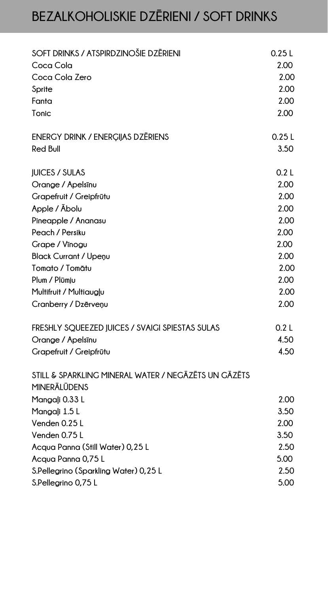# **BEZALKOHOLISKIE DZĒRIENI / SOFT DRINKS**

| SOFT DRINKS / ATSPIRDZINOŠIE DZĒRIENI                                       | 0.25L |
|-----------------------------------------------------------------------------|-------|
| Coca Cola                                                                   | 2.00  |
| Coca Cola Zero                                                              | 2.00  |
| Sprite                                                                      | 2.00  |
| Fanta                                                                       | 2.00  |
| Tonic                                                                       | 2.00  |
| <b>ENERGY DRINK / ENERGIJAS DZĒRIENS</b>                                    | 0.25L |
| <b>Red Bull</b>                                                             | 3.50  |
| <b>JUICES / SULAS</b>                                                       | 0.2L  |
| Orange / Apelsinu                                                           | 2.00  |
| Grapefruit / Greipfrūtu                                                     | 2.00  |
| Apple / Abolu                                                               | 2.00  |
| Pineapple / Ananasu                                                         | 2.00  |
| Peach / Persiku                                                             | 2.00  |
| Grape / Vīnogu                                                              | 2.00  |
| <b>Black Currant / Upenu</b>                                                | 2.00  |
| Tomato / Tomātu                                                             | 2.00  |
| Plum / Plūmju                                                               | 2.00  |
| Multifruit / Multiaugļu                                                     | 2.00  |
| Cranberry / Dzērveņu                                                        | 2.00  |
| FRESHLY SQUEEZED JUICES / SVAIGI SPIESTAS SULAS                             | 0.2L  |
| Orange / Apelsinu                                                           | 4.50  |
| Grapefruit / Greipfrūtu                                                     | 4.50  |
| STILL & SPARKLING MINERAL WATER / NEGĀZĒTS UN GĀZĒTS<br><b>MINERĀLŪDENS</b> |       |
| Mangaļi 0.33 L                                                              | 2.00  |
| Mangali 1.5 L                                                               | 3.50  |
| Venden 0.25 L                                                               | 2.00  |
| Venden 0.75 L                                                               | 3.50  |
| Acqua Panna (Still Water) 0,25 L                                            | 2.50  |
| Acqua Panna 0,75 L                                                          | 5.00  |
| S.Pellegrino (Sparkling Water) 0,25 L                                       | 2.50  |
| S.Pellegrino 0,75 L                                                         | 5.00  |